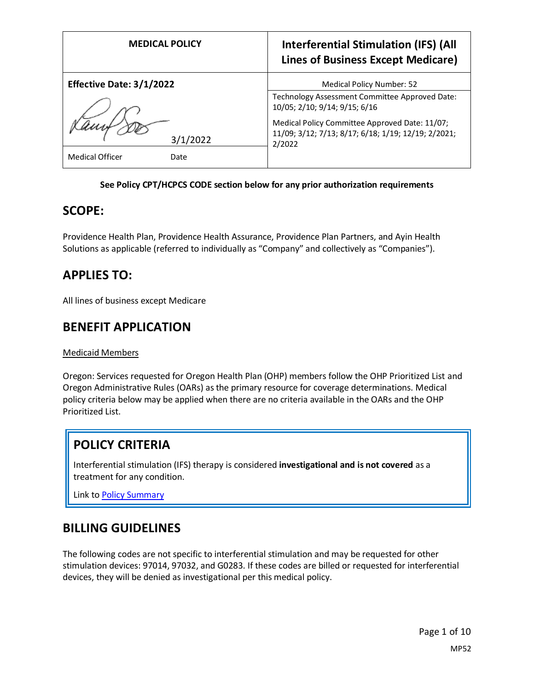| <b>MEDICAL POLICY</b>          | <b>Interferential Stimulation (IFS) (All</b><br><b>Lines of Business Except Medicare)</b>                       |
|--------------------------------|-----------------------------------------------------------------------------------------------------------------|
| Effective Date: 3/1/2022       | Medical Policy Number: 52                                                                                       |
|                                | Technology Assessment Committee Approved Date:<br>10/05; 2/10; 9/14; 9/15; 6/16                                 |
| 3/1/2022                       | Medical Policy Committee Approved Date: 11/07;<br>11/09; 3/12; 7/13; 8/17; 6/18; 1/19; 12/19; 2/2021;<br>2/2022 |
| <b>Medical Officer</b><br>Date |                                                                                                                 |

#### **See Policy CPT/HCPCS CODE section below for any prior authorization requirements**

### **SCOPE:**

Providence Health Plan, Providence Health Assurance, Providence Plan Partners, and Ayin Health Solutions as applicable (referred to individually as "Company" and collectively as "Companies").

## **APPLIES TO:**

All lines of business except Medicare

## **BENEFIT APPLICATION**

#### Medicaid Members

Oregon: Services requested for Oregon Health Plan (OHP) members follow the OHP Prioritized List and Oregon Administrative Rules (OARs) as the primary resource for coverage determinations. Medical policy criteria below may be applied when there are no criteria available in the OARs and the OHP Prioritized List.

## **POLICY CRITERIA**

Interferential stimulation (IFS) therapy is considered **investigational and is not covered** as a treatment for any condition.

Link t[o Policy Summary](#page-5-0)

## **BILLING GUIDELINES**

The following codes are not specific to interferential stimulation and may be requested for other stimulation devices: 97014, 97032, and G0283. If these codes are billed or requested for interferential devices, they will be denied as investigational per this medical policy.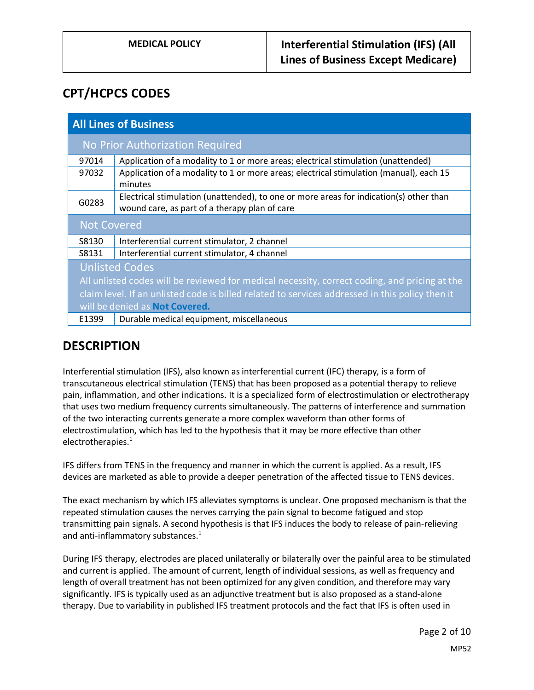# **CPT/HCPCS CODES**

| <b>All Lines of Business</b>                                                                    |                                                                                                                                         |
|-------------------------------------------------------------------------------------------------|-----------------------------------------------------------------------------------------------------------------------------------------|
| No Prior Authorization Required                                                                 |                                                                                                                                         |
| 97014                                                                                           | Application of a modality to 1 or more areas; electrical stimulation (unattended)                                                       |
| 97032                                                                                           | Application of a modality to 1 or more areas; electrical stimulation (manual), each 15<br>minutes                                       |
| G0283                                                                                           | Electrical stimulation (unattended), to one or more areas for indication(s) other than<br>wound care, as part of a therapy plan of care |
| <b>Not Covered</b>                                                                              |                                                                                                                                         |
| S8130                                                                                           | Interferential current stimulator, 2 channel                                                                                            |
| S8131                                                                                           | Interferential current stimulator, 4 channel                                                                                            |
| <b>Unlisted Codes</b>                                                                           |                                                                                                                                         |
| All unlisted codes will be reviewed for medical necessity, correct coding, and pricing at the   |                                                                                                                                         |
| claim level. If an unlisted code is billed related to services addressed in this policy then it |                                                                                                                                         |
| will be denied as Not Covered.                                                                  |                                                                                                                                         |
| E1399                                                                                           | Durable medical equipment, miscellaneous                                                                                                |

# **DESCRIPTION**

Interferential stimulation (IFS), also known as interferential current (IFC) therapy, is a form of transcutaneous electrical stimulation (TENS) that has been proposed as a potential therapy to relieve pain, inflammation, and other indications. It is a specialized form of electrostimulation or electrotherapy that uses two medium frequency currents simultaneously. The patterns of interference and summation of the two interacting currents generate a more complex waveform than other forms of electrostimulation, which has led to the hypothesis that it may be more effective than other electrotherapies.<sup>1</sup>

IFS differs from TENS in the frequency and manner in which the current is applied. As a result, IFS devices are marketed as able to provide a deeper penetration of the affected tissue to TENS devices.

The exact mechanism by which IFS alleviates symptoms is unclear. One proposed mechanism is that the repeated stimulation causes the nerves carrying the pain signal to become fatigued and stop transmitting pain signals. A second hypothesis is that IFS induces the body to release of pain-relieving and anti-inflammatory substances.<sup>1</sup>

During IFS therapy, electrodes are placed unilaterally or bilaterally over the painful area to be stimulated and current is applied. The amount of current, length of individual sessions, as well as frequency and length of overall treatment has not been optimized for any given condition, and therefore may vary significantly. IFS is typically used as an adjunctive treatment but is also proposed as a stand-alone therapy. Due to variability in published IFS treatment protocols and the fact that IFS is often used in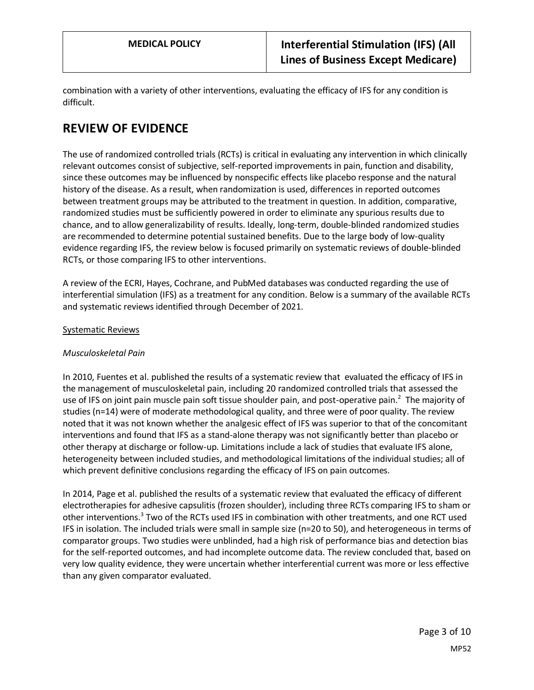combination with a variety of other interventions, evaluating the efficacy of IFS for any condition is difficult.

# **REVIEW OF EVIDENCE**

The use of randomized controlled trials (RCTs) is critical in evaluating any intervention in which clinically relevant outcomes consist of subjective, self-reported improvements in pain, function and disability, since these outcomes may be influenced by nonspecific effects like placebo response and the natural history of the disease. As a result, when randomization is used, differences in reported outcomes between treatment groups may be attributed to the treatment in question. In addition, comparative, randomized studies must be sufficiently powered in order to eliminate any spurious results due to chance, and to allow generalizability of results. Ideally, long-term, double-blinded randomized studies are recommended to determine potential sustained benefits. Due to the large body of low-quality evidence regarding IFS, the review below is focused primarily on systematic reviews of double-blinded RCTs, or those comparing IFS to other interventions.

A review of the ECRI, Hayes, Cochrane, and PubMed databases was conducted regarding the use of interferential simulation (IFS) as a treatment for any condition. Below is a summary of the available RCTs and systematic reviews identified through December of 2021.

#### Systematic Reviews

### *Musculoskeletal Pain*

In 2010, Fuentes et al. published the results of a systematic review that evaluated the efficacy of IFS in the management of musculoskeletal pain, including 20 randomized controlled trials that assessed the use of IFS on joint pain muscle pain soft tissue shoulder pain, and post-operative pain.<sup>2</sup> The majority of studies (n=14) were of moderate methodological quality, and three were of poor quality. The review noted that it was not known whether the analgesic effect of IFS was superior to that of the concomitant interventions and found that IFS as a stand-alone therapy was not significantly better than placebo or other therapy at discharge or follow-up. Limitations include a lack of studies that evaluate IFS alone, heterogeneity between included studies, and methodological limitations of the individual studies; all of which prevent definitive conclusions regarding the efficacy of IFS on pain outcomes.

In 2014, Page et al. published the results of a systematic review that evaluated the efficacy of different electrotherapies for adhesive capsulitis (frozen shoulder), including three RCTs comparing IFS to sham or other interventions.<sup>3</sup> Two of the RCTs used IFS in combination with other treatments, and one RCT used IFS in isolation. The included trials were small in sample size (n=20 to 50), and heterogeneous in terms of comparator groups. Two studies were unblinded, had a high risk of performance bias and detection bias for the self-reported outcomes, and had incomplete outcome data. The review concluded that, based on very low quality evidence, they were uncertain whether interferential current was more or less effective than any given comparator evaluated.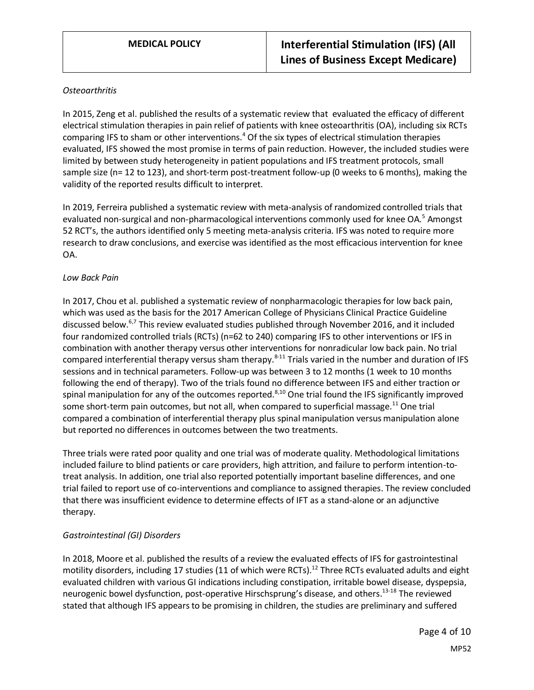#### *Osteoarthritis*

In 2015, Zeng et al. published the results of a systematic review that evaluated the efficacy of different electrical stimulation therapies in pain relief of patients with knee osteoarthritis (OA), including six RCTs comparing IFS to sham or other interventions.<sup>4</sup> Of the six types of electrical stimulation therapies evaluated, IFS showed the most promise in terms of pain reduction. However, the included studies were limited by between study heterogeneity in patient populations and IFS treatment protocols, small sample size (n= 12 to 123), and short-term post-treatment follow-up (0 weeks to 6 months), making the validity of the reported results difficult to interpret.

In 2019, Ferreira published a systematic review with meta-analysis of randomized controlled trials that evaluated non-surgical and non-pharmacological interventions commonly used for knee OA.<sup>5</sup> Amongst 52 RCT's, the authors identified only 5 meeting meta-analysis criteria. IFS was noted to require more research to draw conclusions, and exercise was identified as the most efficacious intervention for knee OA.

#### *Low Back Pain*

In 2017, Chou et al. published a systematic review of nonpharmacologic therapies for low back pain, which was used as the basis for the 2017 American College of Physicians Clinical Practice Guideline discussed below.<sup>6,7</sup> This review evaluated studies published through November 2016, and it included four randomized controlled trials (RCTs) (n=62 to 240) comparing IFS to other interventions or IFS in combination with another therapy versus other interventions for nonradicular low back pain. No trial compared interferential therapy versus sham therapy.<sup>8-11</sup> Trials varied in the number and duration of IFS sessions and in technical parameters. Follow-up was between 3 to 12 months (1 week to 10 months following the end of therapy). Two of the trials found no difference between IFS and either traction or spinal manipulation for any of the outcomes reported.<sup>8,10</sup> One trial found the IFS significantly improved some short-term pain outcomes, but not all, when compared to superficial massage.<sup>11</sup> One trial compared a combination of interferential therapy plus spinal manipulation versus manipulation alone but reported no differences in outcomes between the two treatments.

Three trials were rated poor quality and one trial was of moderate quality. Methodological limitations included failure to blind patients or care providers, high attrition, and failure to perform intention-totreat analysis. In addition, one trial also reported potentially important baseline differences, and one trial failed to report use of co-interventions and compliance to assigned therapies. The review concluded that there was insufficient evidence to determine effects of IFT as a stand-alone or an adjunctive therapy.

### *Gastrointestinal (GI) Disorders*

In 2018, Moore et al. published the results of a review the evaluated effects of IFS for gastrointestinal motility disorders, including 17 studies (11 of which were RCTs).<sup>12</sup> Three RCTs evaluated adults and eight evaluated children with various GI indications including constipation, irritable bowel disease, dyspepsia, neurogenic bowel dysfunction, post-operative Hirschsprung's disease, and others.<sup>13-18</sup> The reviewed stated that although IFS appears to be promising in children, the studies are preliminary and suffered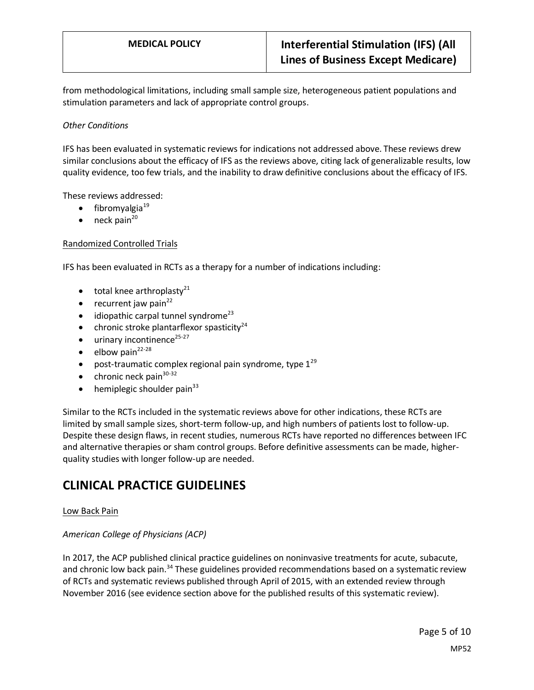from methodological limitations, including small sample size, heterogeneous patient populations and stimulation parameters and lack of appropriate control groups.

### *Other Conditions*

IFS has been evaluated in systematic reviews for indications not addressed above. These reviews drew similar conclusions about the efficacy of IFS as the reviews above, citing lack of generalizable results, low quality evidence, too few trials, and the inability to draw definitive conclusions about the efficacy of IFS.

These reviews addressed:

- $\bullet$  fibromyalgia<sup>19</sup>
- $\bullet$  neck pain<sup>20</sup>

#### Randomized Controlled Trials

IFS has been evaluated in RCTs as a therapy for a number of indications including:

- $\bullet$  total knee arthroplasty<sup>21</sup>
- recurrent jaw pain $^{22}$
- $\bullet$  idiopathic carpal tunnel syndrome<sup>23</sup>
- chronic stroke plantarflexor spasticity<sup>24</sup>
- $\bullet$  urinary incontinence<sup>25-27</sup>
- $\bullet$  elbow pain<sup>22-28</sup>
- post-traumatic complex regional pain syndrome, type  $1^{29}$
- chronic neck pain $30-32$
- hemiplegic shoulder pain $33$

Similar to the RCTs included in the systematic reviews above for other indications, these RCTs are limited by small sample sizes, short-term follow-up, and high numbers of patients lost to follow-up. Despite these design flaws, in recent studies, numerous RCTs have reported no differences between IFC and alternative therapies or sham control groups. Before definitive assessments can be made, higherquality studies with longer follow-up are needed.

# **CLINICAL PRACTICE GUIDELINES**

#### Low Back Pain

#### *American College of Physicians (ACP)*

In 2017, the ACP published clinical practice guidelines on noninvasive treatments for acute, subacute, and chronic low back pain.<sup>34</sup> These guidelines provided recommendations based on a systematic review of RCTs and systematic reviews published through April of 2015, with an extended review through November 2016 (see evidence section above for the published results of this systematic review).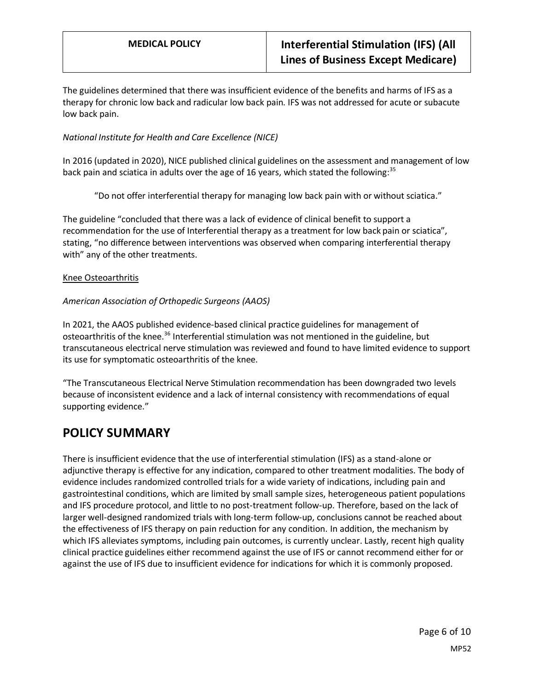The guidelines determined that there was insufficient evidence of the benefits and harms of IFS as a therapy for chronic low back and radicular low back pain. IFS was not addressed for acute or subacute low back pain.

### *National Institute for Health and Care Excellence (NICE)*

In 2016 (updated in 2020), NICE published clinical guidelines on the assessment and management of low back pain and sciatica in adults over the age of 16 years, which stated the following:<sup>35</sup>

"Do not offer interferential therapy for managing low back pain with or without sciatica."

The guideline "concluded that there was a lack of evidence of clinical benefit to support a recommendation for the use of Interferential therapy as a treatment for low back pain or sciatica", stating, "no difference between interventions was observed when comparing interferential therapy with" any of the other treatments.

#### Knee Osteoarthritis

#### *American Association of Orthopedic Surgeons (AAOS)*

In 2021, the AAOS published evidence-based clinical practice guidelines for management of osteoarthritis of the knee.<sup>36</sup> Interferential stimulation was not mentioned in the guideline, but transcutaneous electrical nerve stimulation was reviewed and found to have limited evidence to support its use for symptomatic osteoarthritis of the knee.

"The Transcutaneous Electrical Nerve Stimulation recommendation has been downgraded two levels because of inconsistent evidence and a lack of internal consistency with recommendations of equal supporting evidence."

## <span id="page-5-0"></span>**POLICY SUMMARY**

There is insufficient evidence that the use of interferential stimulation (IFS) as a stand-alone or adjunctive therapy is effective for any indication, compared to other treatment modalities. The body of evidence includes randomized controlled trials for a wide variety of indications, including pain and gastrointestinal conditions, which are limited by small sample sizes, heterogeneous patient populations and IFS procedure protocol, and little to no post-treatment follow-up. Therefore, based on the lack of larger well-designed randomized trials with long-term follow-up, conclusions cannot be reached about the effectiveness of IFS therapy on pain reduction for any condition. In addition, the mechanism by which IFS alleviates symptoms, including pain outcomes, is currently unclear. Lastly, recent high quality clinical practice guidelines either recommend against the use of IFS or cannot recommend either for or against the use of IFS due to insufficient evidence for indications for which it is commonly proposed.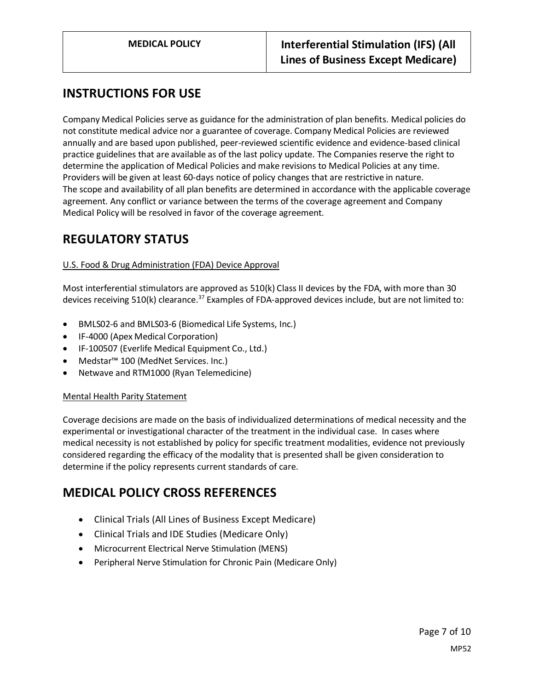# **INSTRUCTIONS FOR USE**

Company Medical Policies serve as guidance for the administration of plan benefits. Medical policies do not constitute medical advice nor a guarantee of coverage. Company Medical Policies are reviewed annually and are based upon published, peer-reviewed scientific evidence and evidence-based clinical practice guidelines that are available as of the last policy update. The Companies reserve the right to determine the application of Medical Policies and make revisions to Medical Policies at any time. Providers will be given at least 60-days notice of policy changes that are restrictive in nature. The scope and availability of all plan benefits are determined in accordance with the applicable coverage agreement. Any conflict or variance between the terms of the coverage agreement and Company Medical Policy will be resolved in favor of the coverage agreement.

## **REGULATORY STATUS**

### U.S. Food & Drug Administration (FDA) Device Approval

Most interferential stimulators are approved as 510(k) Class II devices by the FDA, with more than 30 devices receiving 510(k) clearance.<sup>37</sup> Examples of FDA-approved devices include, but are not limited to:

- BMLS02-6 and BMLS03-6 (Biomedical Life Systems, Inc.)
- IF-4000 (Apex Medical Corporation)
- IF-100507 (Everlife Medical Equipment Co., Ltd.)
- Medstar™ 100 (MedNet Services. Inc.)
- Netwave and RTM1000 (Ryan Telemedicine)

### Mental Health Parity Statement

Coverage decisions are made on the basis of individualized determinations of medical necessity and the experimental or investigational character of the treatment in the individual case. In cases where medical necessity is not established by policy for specific treatment modalities, evidence not previously considered regarding the efficacy of the modality that is presented shall be given consideration to determine if the policy represents current standards of care.

# **MEDICAL POLICY CROSS REFERENCES**

- Clinical Trials (All Lines of Business Except Medicare)
- Clinical Trials and IDE Studies (Medicare Only)
- Microcurrent Electrical Nerve Stimulation (MENS)
- Peripheral Nerve Stimulation for Chronic Pain (Medicare Only)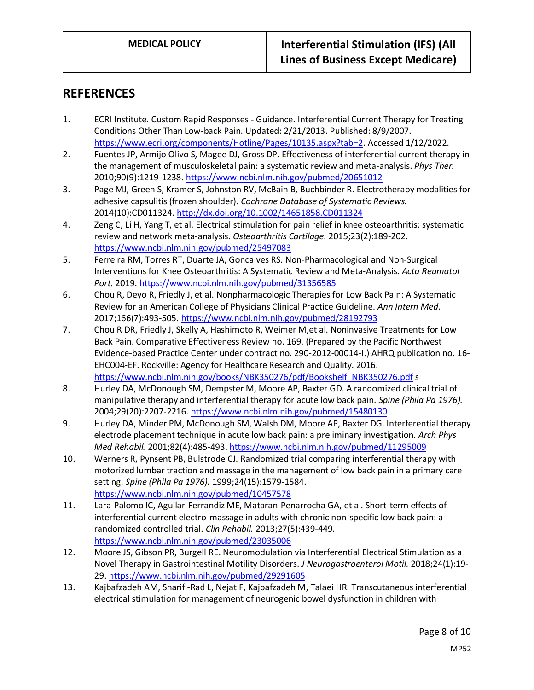## **REFERENCES**

- 1. ECRI Institute. Custom Rapid Responses Guidance. Interferential Current Therapy for Treating Conditions Other Than Low-back Pain. Updated: 2/21/2013. Published: 8/9/2007. [https://www.ecri.org/components/Hotline/Pages/10135.aspx?tab=2.](https://www.ecri.org/components/Hotline/Pages/10135.aspx?tab=2) Accessed 1/12/2022.
- 2. Fuentes JP, Armijo Olivo S, Magee DJ, Gross DP. Effectiveness of interferential current therapy in the management of musculoskeletal pain: a systematic review and meta-analysis. *Phys Ther.*  2010;90(9):1219-1238.<https://www.ncbi.nlm.nih.gov/pubmed/20651012>
- 3. Page MJ, Green S, Kramer S, Johnston RV, McBain B, Buchbinder R. Electrotherapy modalities for adhesive capsulitis (frozen shoulder). *Cochrane Database of Systematic Reviews.*  2014(10):CD011324[. http://dx.doi.org/10.1002/14651858.CD011324](http://dx.doi.org/10.1002/14651858.CD011324)
- 4. Zeng C, Li H, Yang T, et al. Electrical stimulation for pain relief in knee osteoarthritis: systematic review and network meta-analysis. *Osteoarthritis Cartilage.* 2015;23(2):189-202. <https://www.ncbi.nlm.nih.gov/pubmed/25497083>
- 5. Ferreira RM, Torres RT, Duarte JA, Goncalves RS. Non-Pharmacological and Non-Surgical Interventions for Knee Osteoarthritis: A Systematic Review and Meta-Analysis. *Acta Reumatol Port.* 2019[. https://www.ncbi.nlm.nih.gov/pubmed/31356585](https://www.ncbi.nlm.nih.gov/pubmed/31356585)
- 6. Chou R, Deyo R, Friedly J, et al. Nonpharmacologic Therapies for Low Back Pain: A Systematic Review for an American College of Physicians Clinical Practice Guideline. *Ann Intern Med.*  2017;166(7):493-505[. https://www.ncbi.nlm.nih.gov/pubmed/28192793](https://www.ncbi.nlm.nih.gov/pubmed/28192793)
- 7. Chou R DR, Friedly J, Skelly A, Hashimoto R, Weimer M,et al. Noninvasive Treatments for Low Back Pain. Comparative Effectiveness Review no. 169. (Prepared by the Pacific Northwest Evidence-based Practice Center under contract no. 290-2012-00014-I.) AHRQ publication no. 16- EHC004-EF. Rockville: Agency for Healthcare Research and Quality. 2016. [https://www.ncbi.nlm.nih.gov/books/NBK350276/pdf/Bookshelf\\_NBK350276.pdf](https://www.ncbi.nlm.nih.gov/books/NBK350276/pdf/Bookshelf_NBK350276.pdf) s
- 8. Hurley DA, McDonough SM, Dempster M, Moore AP, Baxter GD. A randomized clinical trial of manipulative therapy and interferential therapy for acute low back pain. *Spine (Phila Pa 1976).*  2004;29(20):2207-2216[. https://www.ncbi.nlm.nih.gov/pubmed/15480130](https://www.ncbi.nlm.nih.gov/pubmed/15480130)
- 9. Hurley DA, Minder PM, McDonough SM, Walsh DM, Moore AP, Baxter DG. Interferential therapy electrode placement technique in acute low back pain: a preliminary investigation. *Arch Phys Med Rehabil.* 2001;82(4):485-493[. https://www.ncbi.nlm.nih.gov/pubmed/11295009](https://www.ncbi.nlm.nih.gov/pubmed/11295009)
- 10. Werners R, Pynsent PB, Bulstrode CJ. Randomized trial comparing interferential therapy with motorized lumbar traction and massage in the management of low back pain in a primary care setting. *Spine (Phila Pa 1976).* 1999;24(15):1579-1584. <https://www.ncbi.nlm.nih.gov/pubmed/10457578>
- 11. Lara-Palomo IC, Aguilar-Ferrandiz ME, Mataran-Penarrocha GA, et al. Short-term effects of interferential current electro-massage in adults with chronic non-specific low back pain: a randomized controlled trial. *Clin Rehabil.* 2013;27(5):439-449. <https://www.ncbi.nlm.nih.gov/pubmed/23035006>
- 12. Moore JS, Gibson PR, Burgell RE. Neuromodulation via Interferential Electrical Stimulation as a Novel Therapy in Gastrointestinal Motility Disorders. *J Neurogastroenterol Motil.* 2018;24(1):19- 29[. https://www.ncbi.nlm.nih.gov/pubmed/29291605](https://www.ncbi.nlm.nih.gov/pubmed/29291605)
- 13. Kajbafzadeh AM, Sharifi-Rad L, Nejat F, Kajbafzadeh M, Talaei HR. Transcutaneous interferential electrical stimulation for management of neurogenic bowel dysfunction in children with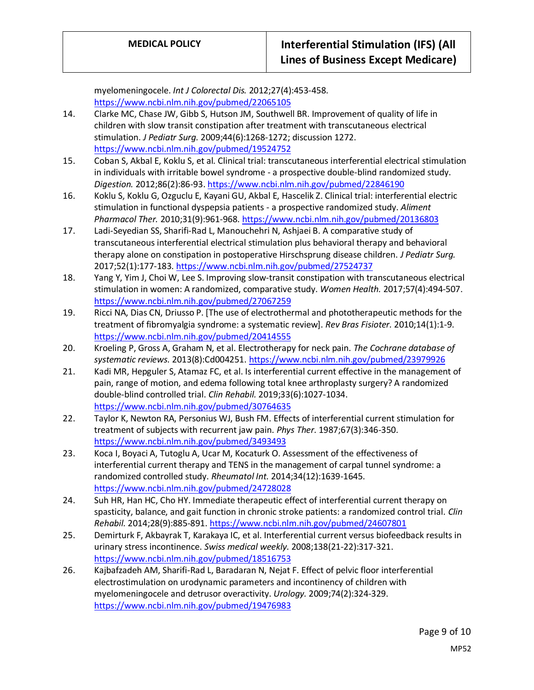myelomeningocele. *Int J Colorectal Dis.* 2012;27(4):453-458. <https://www.ncbi.nlm.nih.gov/pubmed/22065105> 14. Clarke MC, Chase JW, Gibb S, Hutson JM, Southwell BR. Improvement of quality of life in children with slow transit constipation after treatment with transcutaneous electrical stimulation. *J Pediatr Surg.* 2009;44(6):1268-1272; discussion 1272. <https://www.ncbi.nlm.nih.gov/pubmed/19524752> 15. Coban S, Akbal E, Koklu S, et al. Clinical trial: transcutaneous interferential electrical stimulation in individuals with irritable bowel syndrome - a prospective double-blind randomized study. *Digestion.* 2012;86(2):86-93.<https://www.ncbi.nlm.nih.gov/pubmed/22846190> 16. Koklu S, Koklu G, Ozguclu E, Kayani GU, Akbal E, Hascelik Z. Clinical trial: interferential electric stimulation in functional dyspepsia patients - a prospective randomized study. *Aliment Pharmacol Ther.* 2010;31(9):961-968[. https://www.ncbi.nlm.nih.gov/pubmed/20136803](https://www.ncbi.nlm.nih.gov/pubmed/20136803) 17. Ladi-Seyedian SS, Sharifi-Rad L, Manouchehri N, Ashjaei B. A comparative study of transcutaneous interferential electrical stimulation plus behavioral therapy and behavioral therapy alone on constipation in postoperative Hirschsprung disease children. *J Pediatr Surg.*  2017;52(1):177-183[. https://www.ncbi.nlm.nih.gov/pubmed/27524737](https://www.ncbi.nlm.nih.gov/pubmed/27524737) 18. Yang Y, Yim J, Choi W, Lee S. Improving slow-transit constipation with transcutaneous electrical stimulation in women: A randomized, comparative study. *Women Health.* 2017;57(4):494-507. <https://www.ncbi.nlm.nih.gov/pubmed/27067259> 19. Ricci NA, Dias CN, Driusso P. [The use of electrothermal and phototherapeutic methods for the treatment of fibromyalgia syndrome: a systematic review]. *Rev Bras Fisioter.* 2010;14(1):1-9. <https://www.ncbi.nlm.nih.gov/pubmed/20414555> 20. Kroeling P, Gross A, Graham N, et al. Electrotherapy for neck pain. *The Cochrane database of systematic reviews.* 2013(8):Cd004251.<https://www.ncbi.nlm.nih.gov/pubmed/23979926> 21. Kadi MR, Hepguler S, Atamaz FC, et al. Is interferential current effective in the management of pain, range of motion, and edema following total knee arthroplasty surgery? A randomized double-blind controlled trial. *Clin Rehabil.* 2019;33(6):1027-1034. <https://www.ncbi.nlm.nih.gov/pubmed/30764635> 22. Taylor K, Newton RA, Personius WJ, Bush FM. Effects of interferential current stimulation for treatment of subjects with recurrent jaw pain. *Phys Ther.* 1987;67(3):346-350. <https://www.ncbi.nlm.nih.gov/pubmed/3493493>

- 23. Koca I, Boyaci A, Tutoglu A, Ucar M, Kocaturk O. Assessment of the effectiveness of interferential current therapy and TENS in the management of carpal tunnel syndrome: a randomized controlled study. *Rheumatol Int.* 2014;34(12):1639-1645. <https://www.ncbi.nlm.nih.gov/pubmed/24728028>
- 24. Suh HR, Han HC, Cho HY. Immediate therapeutic effect of interferential current therapy on spasticity, balance, and gait function in chronic stroke patients: a randomized control trial. *Clin Rehabil.* 2014;28(9):885-891.<https://www.ncbi.nlm.nih.gov/pubmed/24607801>
- 25. Demirturk F, Akbayrak T, Karakaya IC, et al. Interferential current versus biofeedback results in urinary stress incontinence. *Swiss medical weekly.* 2008;138(21-22):317-321. <https://www.ncbi.nlm.nih.gov/pubmed/18516753>
- 26. Kajbafzadeh AM, Sharifi-Rad L, Baradaran N, Nejat F. Effect of pelvic floor interferential electrostimulation on urodynamic parameters and incontinency of children with myelomeningocele and detrusor overactivity. *Urology.* 2009;74(2):324-329. <https://www.ncbi.nlm.nih.gov/pubmed/19476983>